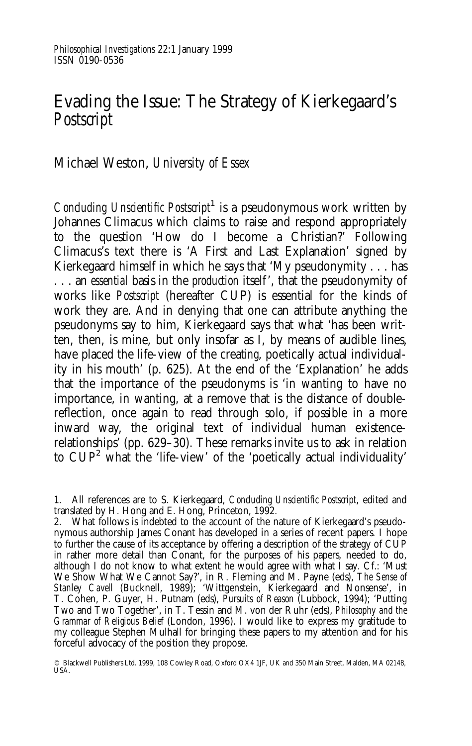## Evading the Issue: The Strategy of Kierkegaard's *Postscript*

Michael Weston, *University of Essex*

*Concluding Unscientific Postscript*<sup>1</sup> is a pseudonymous work written by Johannes Climacus which claims to raise and respond appropriately to the question 'How do I become a Christian?' Following Climacus's text there is 'A First and Last Explanation' signed by Kierkegaard himself in which he says that 'My pseudonymity . . . has . . . an *essential* basis in the *production* itself', that the pseudonymity of works like *Postscript* (hereafter CUP) is essential for the kinds of work they are. And in denying that one can attribute anything the pseudonyms say to him, Kierkegaard says that what 'has been written, then, is mine, but only insofar as I, by means of audible lines, have placed the life-view of the creat*ing*, poetically actual individuality in his mouth' (p. 625). At the end of the 'Explanation' he adds that the importance of the pseudonyms is 'in wanting to have no importance, in wanting, at a remove that is the distance of doublereflection, once again to read through solo, if possible in a more inward way, the original text of individual human existencerelationships' (pp. 629–30). These remarks invite us to ask in relation to CUP2 what the 'life-view' of the 'poetically actual individuality'

<sup>1.</sup> All references are to S. Kierkegaard, *Concluding Unscientific Postscript*, edited and translated by H. Hong and E. Hong, Princeton, 1992.

<sup>2.</sup> What follows is indebted to the account of the nature of Kierkegaard's pseudonymous authorship James Conant has developed in a series of recent papers. I hope to further the cause of its acceptance by offering a description of the strategy of CUP in rather more detail than Conant, for the purposes of his papers, needed to do, although I do not know to what extent he would agree with what I say. Cf.: 'Must We Show What We Cannot Say?', in R. Fleming and M. Payne (eds), *The Sense of Stanley Cavell* (Bucknell, 1989); 'Wittgenstein, Kierkegaard and Nonsense', in T. Cohen, P. Guyer, H. Putnam (eds), *Pursuits of Reason* (Lubbock, 1994); 'Putting Two and Two Together', in T. Tessin and M. von der Ruhr (eds), *Philosophy and the Grammar of Religious Belief* (London, 1996). I would like to express my gratitude to my colleague Stephen Mulhall for bringing these papers to my attention and for his forceful advocacy of the position they propose.

<sup>©</sup> Blackwell Publishers Ltd. 1999, 108 Cowley Road, Oxford OX4 1JF, UK and 350 Main Street, Malden, MA 02148, USA.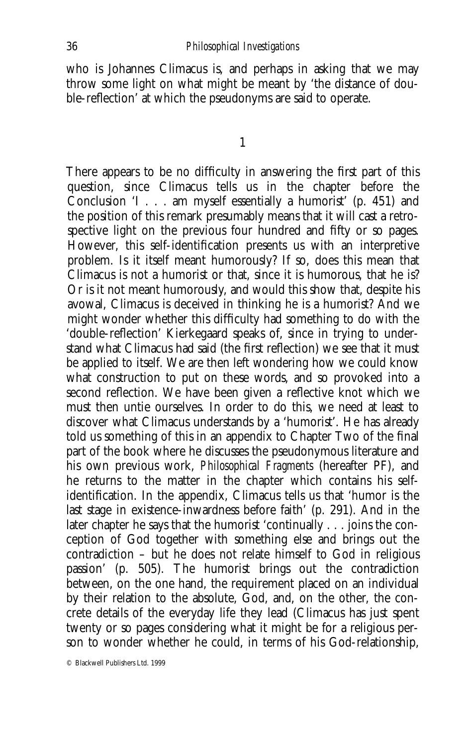who is Johannes Climacus is, and perhaps in asking that we may throw some light on what might be meant by 'the distance of double-reflection' at which the pseudonyms are said to operate.

There appears to be no difficulty in answering the first part of this question, since Climacus tells us in the chapter before the Conclusion 'I . . . am myself essentially a humorist' (p. 451) and the position of this remark presumably means that it will cast a retrospective light on the previous four hundred and fifty or so pages. However, this self-identification presents us with an interpretive problem. Is it itself meant humorously? If so, does this mean that Climacus is not a humorist or that, since it is humorous, that he is? Or is it not meant humorously, and would this show that, despite his avowal, Climacus is deceived in thinking he is a humorist? And we might wonder whether this difficulty had something to do with the 'double-reflection' Kierkegaard speaks of, since in trying to understand what Climacus had said (the first reflection) we see that it must be applied to itself. We are then left wondering how we could know what construction to put on these words, and so provoked into a second reflection. We have been given a reflective knot which we must then untie ourselves. In order to do this, we need at least to discover what Climacus understands by a 'humorist'. He has already told us something of this in an appendix to Chapter Two of the final part of the book where he discusses the pseudonymous literature and his own previous work, *Philosophical Fragments* (hereafter PF), and he returns to the matter in the chapter which contains his selfidentification. In the appendix, Climacus tells us that 'humor is the last stage in existence-inwardness before faith' (p. 291). And in the later chapter he says that the humorist 'continually . . . joins the conception of God together with something else and brings out the contradiction – but he does not relate himself to God in religious passion' (p. 505). The humorist brings out the contradiction between, on the one hand, the requirement placed on an individual by their relation to the absolute, God, and, on the other, the concrete details of the everyday life they lead (Climacus has just spent twenty or so pages considering what it might be for a religious person to wonder whether he could, in terms of his God-relationship,

<sup>1</sup>

<sup>©</sup> Blackwell Publishers Ltd. 1999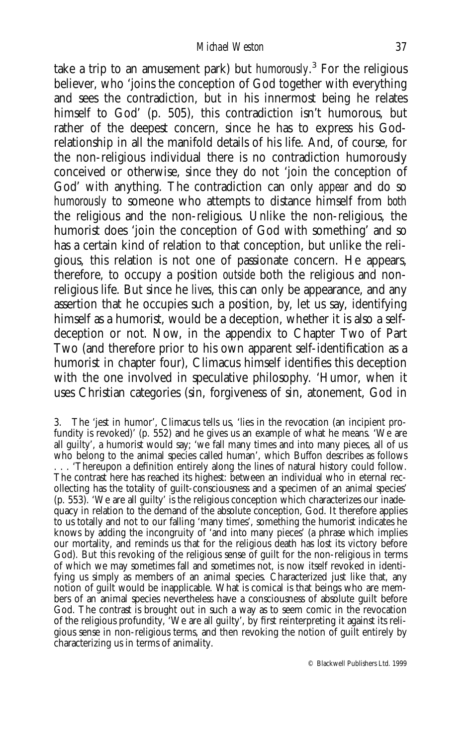take a trip to an amusement park) but *humorously*. <sup>3</sup> For the religious believer, who 'joins the conception of God together with everything and sees the contradiction, but in his innermost being he relates himself to God' (p. 505), this contradiction isn't humorous, but rather of the deepest concern, since he has to express his Godrelationship in all the manifold details of his life. And, of course, for the non-religious individual there is no contradiction humorously conceived or otherwise, since they do not 'join the conception of God' with anything. The contradiction can only *appear* and do so *humorously* to someone who attempts to distance himself from *both* the religious and the non-religious. Unlike the non-religious, the humorist does 'join the conception of God with something' and so has a certain kind of relation to that conception, but unlike the religious, this relation is not one of passionate concern. He appears, therefore, to occupy a position *outside* both the religious and nonreligious life. But since he *lives*, this can only be appearance, and any assertion that he occupies such a position, by, let us say, identifying himself as a humorist, would be a deception, whether it is also a selfdeception or not. Now, in the appendix to Chapter Two of Part Two (and therefore prior to his own apparent self-identification as a humorist in chapter four), Climacus himself identifies this deception with the one involved in speculative philosophy. 'Humor, when it uses Christian categories (sin, forgiveness of sin, atonement, God in

3. The 'jest in humor', Climacus tells us, 'lies in the revocation (an incipient profundity is revoked)' (p. 552) and he gives us an example of what he means. 'We are all guilty', a humorist would say; 'we fall many times and into many pieces, all of us who belong to the animal species called human', which Buffon describes as follows . . . 'Thereupon a definition entirely along the lines of natural history could follow. The contrast here has reached its highest: between an individual who in eternal recollecting has the totality of guilt-consciousness and a specimen of an animal species' (p. 553). 'We are all guilty' is the religious conception which characterizes our inadequacy in relation to the demand of the absolute conception, God. It therefore applies to us totally and not to our falling 'many times', something the humorist indicates he knows by adding the incongruity of 'and into many pieces' (a phrase which implies our mortality, and reminds us that for the religious death has lost its victory before God). But this revoking of the religious sense of guilt for the non-religious in terms of which we may sometimes fall and sometimes not, is now itself revoked in identifying us simply as members of an animal species. Characterized just like that, any notion of guilt would be inapplicable. What is comical is that beings who are members of an animal species nevertheless have a consciousness of absolute guilt before God. The contrast is brought out in such a way as to seem comic in the revocation of the religious profundity, 'We are all guilty', by first reinterpreting it against its religious sense in non-religious terms, and then revoking the notion of guilt entirely by characterizing us in terms of animality.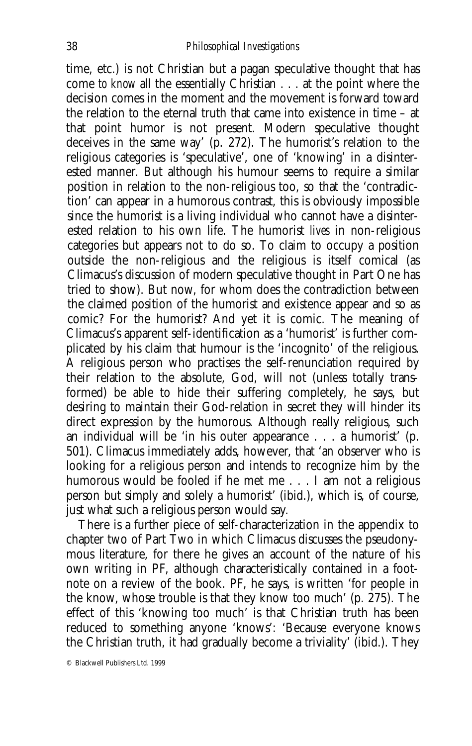time, etc.) is not Christian but a pagan speculative thought that has come *to know* all the essentially Christian . . . at the point where the decision comes in the moment and the movement is forward toward the relation to the eternal truth that came into existence in time – at that point humor is not present. Modern speculative thought deceives in the same way' (p. 272). The humorist's relation to the religious categories is 'speculative', one of 'knowing' in a disinterested manner. But although his humour seems to require a similar position in relation to the non-religious too, so that the 'contradiction' can appear in a humorous contrast, this is obviously impossible since the humorist is a living individual who cannot have a disinterested relation to his own life. The humorist *lives* in non-religious categories but appears not to do so. To claim to occupy a position outside the non-religious and the religious is itself comical (as Climacus's discussion of modern speculative thought in Part One has tried to show). But now, for whom does the contradiction between the claimed position of the humorist and existence appear and so as comic? For the humorist? And yet it is comic. The meaning of Climacus's apparent self-identification as a 'humorist' is further complicated by his claim that humour is the 'incognito' of the religious. A religious person who practises the self-renunciation required by their relation to the absolute, God, will not (unless totally transformed) be able to hide their suffering completely, he says, but desiring to maintain their God-relation in secret they will hinder its direct expression by the humorous. Although really religious, such an individual will be 'in his outer appearance . . . a humorist' (p. 501). Climacus immediately adds, however, that 'an observer who is looking for a religious person and intends to recognize him by the humorous would be fooled if he met me . . . I am not a religious person but simply and solely a humorist' (ibid.), which is, of course, just what such a religious person would say.

There is a further piece of self-characterization in the appendix to chapter two of Part Two in which Climacus discusses the pseudonymous literature, for there he gives an account of the nature of his own writing in PF, although characteristically contained in a footnote on a review of the book. PF, he says, is written 'for people in the know, whose trouble is that they know too much' (p. 275). The effect of this 'knowing too much' is that Christian truth has been reduced to something anyone 'knows': 'Because everyone knows the Christian truth, it had gradually become a triviality' (ibid.). They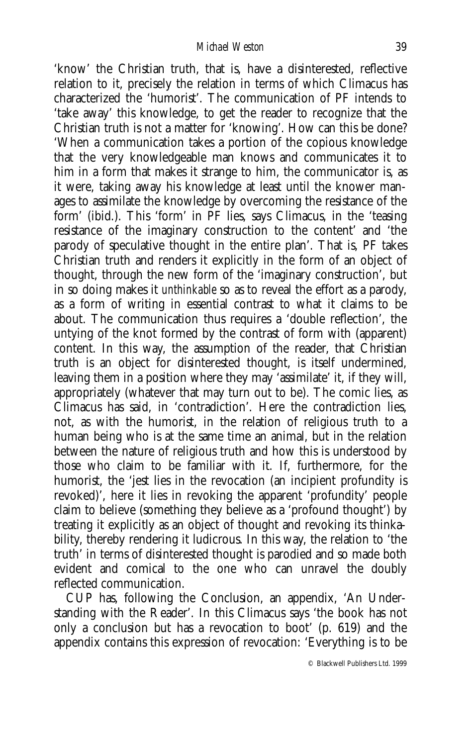'know' the Christian truth, that is, have a disinterested, reflective relation to it, precisely the relation in terms of which Climacus has characterized the 'humorist'. The communication of PF intends to 'take away' this knowledge, to get the reader to recognize that the Christian truth is not a matter for 'knowing'. How can this be done? 'When a communication takes a portion of the copious knowledge that the very knowledgeable man knows and communicates it to him in a form that makes it strange to him, the communicator is, as it were, taking away his knowledge at least until the knower manages to assimilate the knowledge by overcoming the resistance of the form' (ibid.). This 'form' in PF lies, says Climacus, in the 'teasing resistance of the imaginary construction to the content' and 'the parody of speculative thought in the entire plan'. That is, PF takes Christian truth and renders it explicitly in the form of an object of thought, through the new form of the 'imaginary construction', but in so doing makes it *unthinkable* so as to reveal the effort as a parody, as a form of writing in essential contrast to what it claims to be about. The communication thus requires a 'double reflection', the untying of the knot formed by the contrast of form with (apparent) content. In this way, the assumption of the reader, that Christian truth is an object for disinterested thought, is itself undermined, leaving them in a position where they may 'assimilate' it, if they will, appropriately (whatever that may turn out to be). The comic lies, as Climacus has said, in 'contradiction'. Here the contradiction lies, not, as with the humorist, in the relation of religious truth to a human being who is at the same time an animal, but in the relation between the nature of religious truth and how this is understood by those who claim to be familiar with it. If, furthermore, for the humorist, the 'jest lies in the revocation (an incipient profundity is revoked)', here it lies in revoking the apparent 'profundity' people claim to believe (something they believe as a 'profound thought') by treating it explicitly as an object of thought and revoking its thinkability, thereby rendering it ludicrous. In this way, the relation to 'the truth' in terms of disinterested thought is parodied and so made both evident and comical to the one who can unravel the doubly reflected communication.

CUP has, following the Conclusion, an appendix, 'An Understanding with the Reader'. In this Climacus says 'the book has not only a conclusion but has a revocation to boot' (p. 619) and the appendix contains this expression of revocation: 'Everything is to be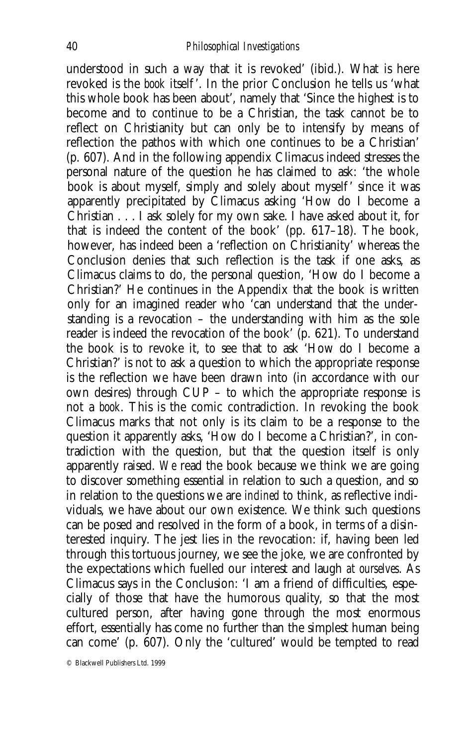understood in such a way that it is revoked' (ibid.). What is here revoked is the *book* itself '. In the prior Conclusion he tells us 'what this whole book has been about', namely that 'Since the highest is to become and to continue to be a Christian, the task cannot be to reflect on Christianity but can only be to intensify by means of reflection the pathos with which one continues to be a Christian' (p. 607). And in the following appendix Climacus indeed stresses the personal nature of the question he has claimed to ask: 'the whole book is about myself, simply and solely about myself' since it was apparently precipitated by Climacus asking 'How do I become a Christian . . . I ask solely for my own sake. I have asked about it, for that is indeed the content of the book' (pp. 617–18). The book, however, has indeed been a 'reflection on Christianity' whereas the Conclusion denies that such reflection is the task if one asks, as Climacus claims to do, the personal question, 'How do I become a Christian?' He continues in the Appendix that the book is written only for an imagined reader who 'can understand that the understanding is a revocation – the understanding with him as the sole reader is indeed the revocation of the book' (p. 621). To understand the book is to revoke it, to see that to ask 'How do I become a Christian?' is not to ask a question to which the appropriate response is the reflection we have been drawn into (in accordance with our own desires) through CUP – to which the appropriate response is not a *book*. This is the comic contradiction. In revoking the book Climacus marks that not only is its claim to be a response to the question it apparently asks, 'How do I become a Christian?', in contradiction with the question, but that the question itself is only apparently raised. *We* read the book because we think we are going to discover something essential in relation to such a question, and so in relation to the questions we are *inclined* to think, as reflective individuals, we have about our own existence. We think such questions can be posed and resolved in the form of a book, in terms of a disinterested inquiry. The jest lies in the revocation: if, having been led through this tortuous journey, we see the joke, we are confronted by the expectations which fuelled our interest and laugh *at ourselves*. As Climacus says in the Conclusion: 'I am a friend of difficulties, especially of those that have the humorous quality, so that the most cultured person, after having gone through the most enormous effort, essentially has come no further than the simplest human being can come' (p. 607). Only the 'cultured' would be tempted to read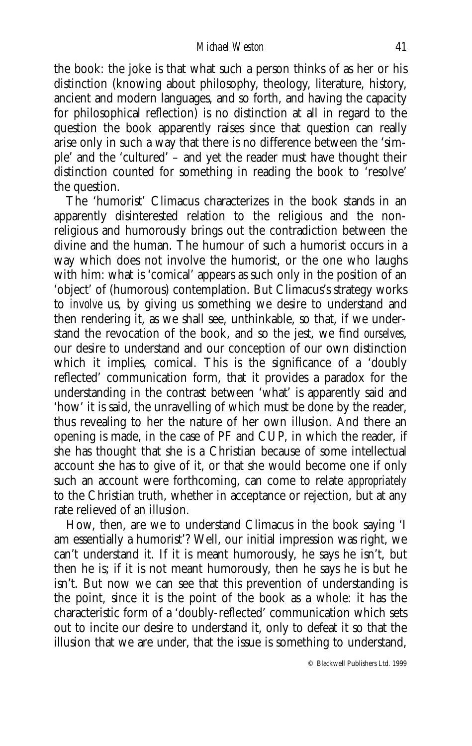the book: the joke is that what such a person thinks of as her or his distinction (knowing about philosophy, theology, literature, history, ancient and modern languages, and so forth, and having the capacity for philosophical reflection) is no distinction at all in regard to the question the book apparently raises since that question can really arise only in such a way that there is no difference between the 'simple' and the 'cultured' – and yet the reader must have thought their distinction counted for something in reading the book to 'resolve' the question.

The 'humorist' Climacus characterizes in the book stands in an apparently disinterested relation to the religious and the nonreligious and humorously brings out the contradiction between the divine and the human. The humour of such a humorist occurs in a way which does not involve the humorist, or the one who laughs with him: what is 'comical' appears as such only in the position of an 'object' of (humorous) contemplation. But Climacus's strategy works to *involve* us, by giving us something we desire to understand and then rendering it, as we shall see, unthinkable, so that, if we understand the revocation of the book, and so the jest, we find *ourselves*, our desire to understand and our conception of our own distinction which it implies, comical. This is the significance of a 'doubly reflected' communication form, that it provides a paradox for the understanding in the contrast between 'what' is apparently said and 'how' it is said, the unravelling of which must be done by the reader, thus revealing to her the nature of her own illusion. And there an opening is made, in the case of PF and CUP, in which the reader, if she has thought that she is a Christian because of some intellectual account she has to give of it, or that she would become one if only such an account were forthcoming, can come to relate *appropriately* to the Christian truth, whether in acceptance or rejection, but at any rate relieved of an illusion.

How, then, are we to understand Climacus in the book saying 'I am essentially a humorist'? Well, our initial impression was right, we can't understand it. If it is meant humorously, he says he isn't, but then he is; if it is not meant humorously, then he says he is but he isn't. But now we can see that this prevention of understanding is the point, since it is the point of the book as a whole: it has the characteristic form of a 'doubly-reflected' communication which sets out to incite our desire to understand it, only to defeat it so that the illusion that we are under, that the issue is something to understand,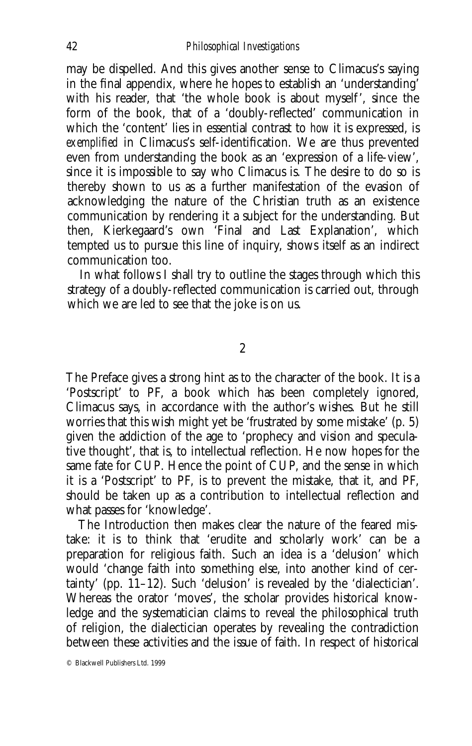may be dispelled. And this gives another sense to Climacus's saying in the final appendix, where he hopes to establish an 'understanding' with his reader, that 'the whole book is about myself', since the form of the book, that of a 'doubly-reflected' communication in which the 'content' lies in essential contrast to *how* it is expressed, is *exemplified* in Climacus's self-identification. We are thus prevented even from understanding the book as an 'expression of a life-view', since it is impossible to say who Climacus is. The desire to do so is thereby shown to us as a further manifestation of the evasion of acknowledging the nature of the Christian truth as an existence communication by rendering it a subject for the understanding. But then, Kierkegaard's own 'Final and Last Explanation', which tempted us to pursue this line of inquiry, shows itself as an indirect communication too.

In what follows I shall try to outline the stages through which this strategy of a doubly-reflected communication is carried out, through which we are led to see that the joke is on us.

2

The Preface gives a strong hint as to the character of the book. It is a 'Postscript' to PF, a book which has been completely ignored, Climacus says, in accordance with the author's wishes. But he still worries that this wish might yet be 'frustrated by some mistake' (p. 5) given the addiction of the age to 'prophecy and vision and speculative thought', that is, to intellectual reflection. He now hopes for the same fate for CUP. Hence the point of CUP, and the sense in which it is a 'Postscript' to PF, is to prevent the mistake, that it, and PF, should be taken up as a contribution to intellectual reflection and what passes for 'knowledge'.

The Introduction then makes clear the nature of the feared mistake: it is to think that 'erudite and scholarly work' can be a preparation for religious faith. Such an idea is a 'delusion' which would 'change faith into something else, into another kind of certainty' (pp. 11–12). Such 'delusion' is revealed by the 'dialectician'. Whereas the orator 'moves', the scholar provides historical knowledge and the systematician claims to reveal the philosophical truth of religion, the dialectician operates by revealing the contradiction between these activities and the issue of faith. In respect of historical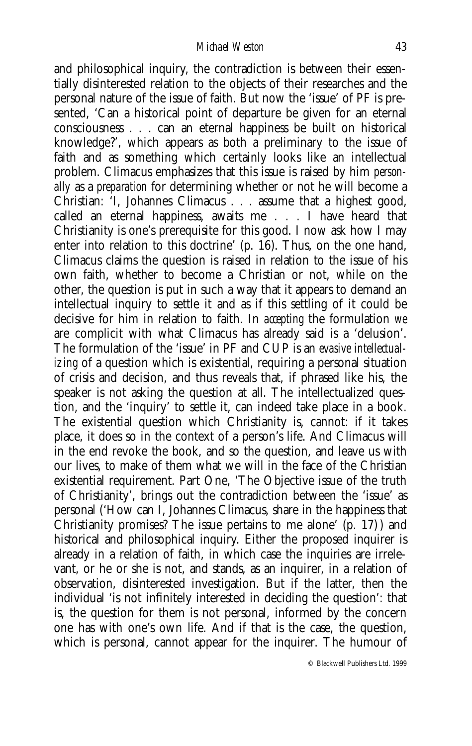and philosophical inquiry, the contradiction is between their essentially disinterested relation to the objects of their researches and the personal nature of the issue of faith. But now the 'issue' of PF is presented, 'Can a historical point of departure be given for an eternal consciousness . . . can an eternal happiness be built on historical knowledge?', which appears as both a preliminary to the issue of faith and as something which certainly looks like an intellectual problem. Climacus emphasizes that this issue is raised by him *personally* as a *preparation* for determining whether or not he will become a Christian: 'I, Johannes Climacus . . . assume that a highest good, called an eternal happiness, awaits me . . . I have heard that Christianity is one's prerequisite for this good. I now ask how I may enter into relation to this doctrine' (p. 16). Thus, on the one hand, Climacus claims the question is raised in relation to the issue of his own faith, whether to become a Christian or not, while on the other, the question is put in such a way that it appears to demand an intellectual inquiry to settle it and as if this settling of it could be decisive for him in relation to faith. In *accepting* the formulation *we* are complicit with what Climacus has already said is a 'delusion'. The formulation of the 'issue' in PF and CUP is an *evasive intellectualizing* of a question which is existential, requiring a personal situation of crisis and decision, and thus reveals that, if phrased like his, the speaker is not asking the question at all. The intellectualized question, and the 'inquiry' to settle it, can indeed take place in a book. The existential question which Christianity is, cannot: if it takes place, it does so in the context of a person's life. And Climacus will in the end revoke the book, and so the question, and leave us with our lives, to make of them what we will in the face of the Christian existential requirement. Part One, 'The Objective issue of the truth of Christianity', brings out the contradiction between the 'issue' as personal ('How can I, Johannes Climacus, share in the happiness that Christianity promises? The issue pertains to me alone' (p. 17)) and historical and philosophical inquiry. Either the proposed inquirer is already in a relation of faith, in which case the inquiries are irrelevant, or he or she is not, and stands, as an inquirer, in a relation of observation, disinterested investigation. But if the latter, then the individual 'is not infinitely interested in deciding the question': that is, the question for them is not personal, informed by the concern one has with one's own life. And if that is the case, the question, which is personal, cannot appear for the inquirer. The humour of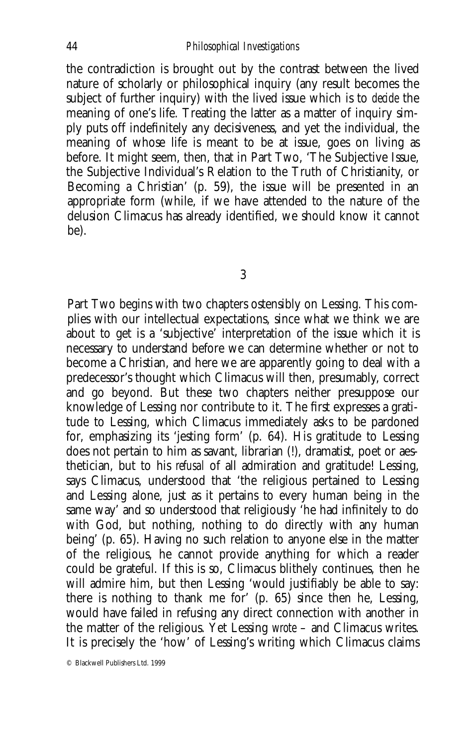the contradiction is brought out by the contrast between the lived nature of scholarly or philosophical inquiry (any result becomes the subject of further inquiry) with the lived issue which is to *decide* the meaning of one's life. Treating the latter as a matter of inquiry simply puts off indefinitely any decisiveness, and yet the individual, the meaning of whose life is meant to be at issue, goes on living as before. It might seem, then, that in Part Two, 'The Subjective Issue, the Subjective Individual's Relation to the Truth of Christianity, or Becoming a Christian' (p. 59), the issue will be presented in an appropriate form (while, if we have attended to the nature of the delusion Climacus has already identified, we should know it cannot be).

3

Part Two begins with two chapters ostensibly on Lessing. This complies with our intellectual expectations, since what we think we are about to get is a 'subjective' interpretation of the issue which it is necessary to understand before we can determine whether or not to become a Christian, and here we are apparently going to deal with a predecessor's thought which Climacus will then, presumably, correct and go beyond. But these two chapters neither presuppose our knowledge of Lessing nor contribute to it. The first expresses a gratitude to Lessing, which Climacus immediately asks to be pardoned for, emphasizing its 'jesting form' (p. 64). His gratitude to Lessing does not pertain to him as savant, librarian (!), dramatist, poet or aesthetician, but to his *refusal* of all admiration and gratitude! Lessing, says Climacus, understood that 'the religious pertained to Lessing and Lessing alone, just as it pertains to every human being in the same way' and so understood that religiously 'he had infinitely to do with God, but nothing, nothing to do directly with any human being' (p. 65). Having no such relation to anyone else in the matter of the religious, he cannot provide anything for which a reader could be grateful. If this is so, Climacus blithely continues, then he will admire him, but then Lessing 'would justifiably be able to say: there is nothing to thank me for' (p. 65) since then he, Lessing, would have failed in refusing any direct connection with another in the matter of the religious. Yet Lessing *wrote* – and Climacus writes. It is precisely the 'how' of Lessing's writing which Climacus claims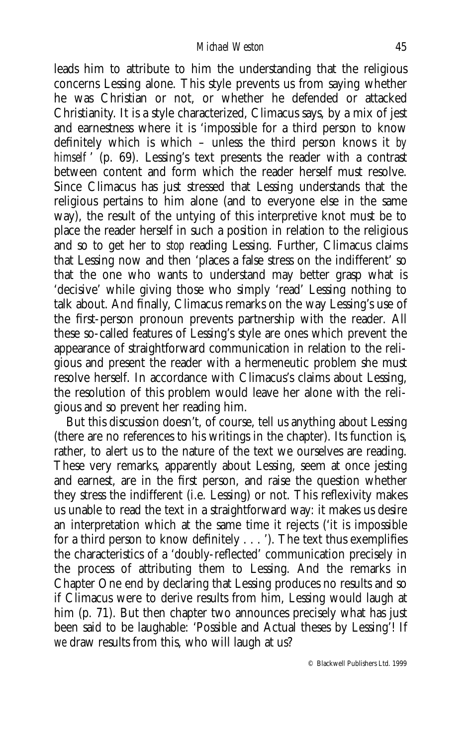leads him to attribute to him the understanding that the religious concerns Lessing alone. This style prevents us from saying whether he was Christian or not, or whether he defended or attacked Christianity. It is a style characterized, Climacus says, by a mix of jest and earnestness where it is 'impossible for a third person to know definitely which is which – unless the third person knows it *by* himself<sup>'</sup> (p. 69). Lessing's text presents the reader with a contrast between content and form which the reader herself must resolve. Since Climacus has just stressed that Lessing understands that the religious pertains to him alone (and to everyone else in the same way), the result of the untying of this interpretive knot must be to place the reader herself in such a position in relation to the religious and so to get her to *stop* reading Lessing. Further, Climacus claims that Lessing now and then 'places a false stress on the indifferent' so that the one who wants to understand may better grasp what is 'decisive' while giving those who simply 'read' Lessing nothing to talk about. And finally, Climacus remarks on the way Lessing's use of the first-person pronoun prevents partnership with the reader. All these so-called features of Lessing's style are ones which prevent the appearance of straightforward communication in relation to the religious and present the reader with a hermeneutic problem she must resolve herself. In accordance with Climacus's claims about Lessing, the resolution of this problem would leave her alone with the religious and so prevent her reading him.

But this discussion doesn't, of course, tell us anything about Lessing (there are no references to his writings in the chapter). Its function is, rather, to alert us to the nature of the text we ourselves are reading. These very remarks, apparently about Lessing, seem at once jesting and earnest, are in the first person, and raise the question whether they stress the indifferent (i.e. Lessing) or not. This reflexivity makes us unable to read the text in a straightforward way: it makes us desire an interpretation which at the same time it rejects ('it is impossible for a third person to know definitely . . . '). The text thus exemplifies the characteristics of a 'doubly-reflected' communication precisely in the process of attributing them to Lessing. And the remarks in Chapter One end by declaring that Lessing produces no results and so if Climacus were to derive results from him, Lessing would laugh at him (p. 71). But then chapter two announces precisely what has just been said to be laughable: 'Possible and Actual theses by Lessing'! If *we* draw results from this, who will laugh at us?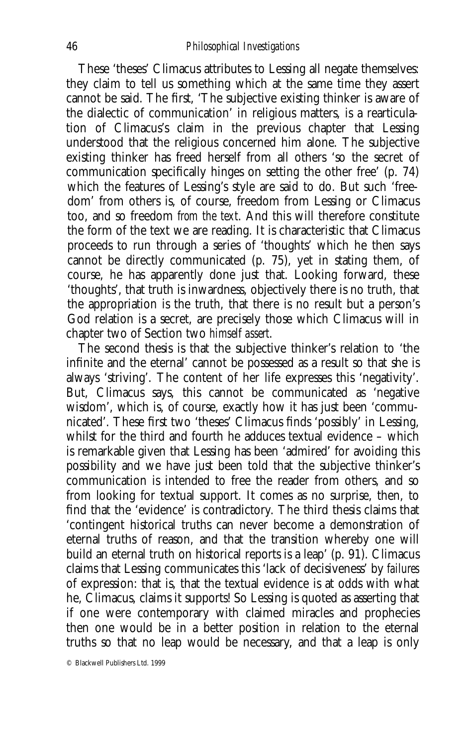These 'theses' Climacus attributes to Lessing all negate themselves: they claim to tell us something which at the same time they assert cannot be said. The first, 'The subjective existing thinker is aware of the dialectic of communication' in religious matters, is a rearticulation of Climacus's claim in the previous chapter that Lessing understood that the religious concerned him alone. The subjective existing thinker has freed herself from all others 'so the secret of communication specifically hinges on setting the other free' (p. 74) which the features of Lessing's style are said to do. But such 'freedom' from others is, of course, freedom from Lessing or Climacus too, and so freedom *from the text*. And this will therefore constitute the form of the text we are reading. It is characteristic that Climacus proceeds to run through a series of 'thoughts' which he then says cannot be directly communicated (p. 75), yet in stating them, of course, he has apparently done just that. Looking forward, these 'thoughts', that truth is inwardness, objectively there is no truth, that the appropriation is the truth, that there is no result but a person's God relation is a secret, are precisely those which Climacus will in chapter two of Section two *himself assert*.

The second thesis is that the subjective thinker's relation to 'the infinite and the eternal' cannot be possessed as a result so that she is always 'striving'. The content of her life expresses this 'negativity'. But, Climacus says, this cannot be communicated as 'negative wisdom', which is, of course, exactly how it has just been 'communicated'. These first two 'theses' Climacus finds 'possibly' in Lessing, whilst for the third and fourth he adduces textual evidence – which is remarkable given that Lessing has been 'admired' for avoiding this possibility and we have just been told that the subjective thinker's communication is intended to free the reader from others, and so from looking for textual support. It comes as no surprise, then, to find that the 'evidence' is contradictory. The third thesis claims that 'contingent historical truths can never become a demonstration of eternal truths of reason, and that the transition whereby one will build an eternal truth on historical reports is a leap' (p. 91). Climacus claims that Lessing communicates this 'lack of decisiveness' by *failures* of expression: that is, that the textual evidence is at odds with what he, Climacus, claims it supports! So Lessing is quoted as asserting that if one were contemporary with claimed miracles and prophecies then one would be in a better position in relation to the eternal truths so that no leap would be necessary, and that a leap is only

<sup>©</sup> Blackwell Publishers Ltd. 1999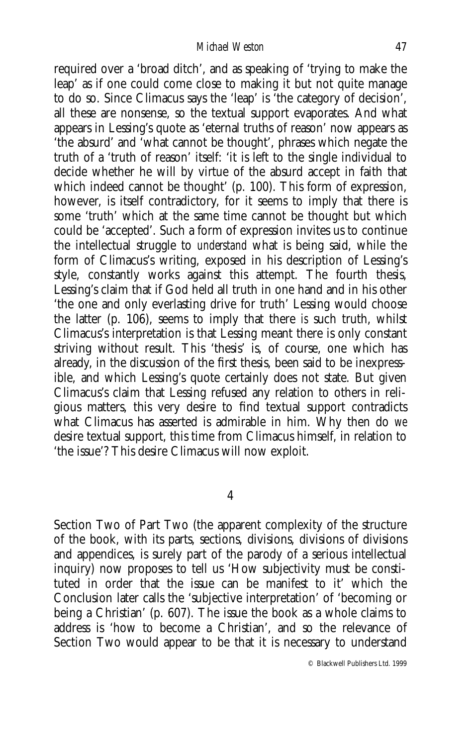required over a 'broad ditch', and as speaking of 'trying to make the leap' as if one could come close to making it but not quite manage to do so. Since Climacus says the 'leap' is 'the category of decision', all these are nonsense, so the textual support evaporates. And what appears in Lessing's quote as 'eternal truths of reason' now appears as 'the absurd' and 'what cannot be thought', phrases which negate the truth of a 'truth of reason' itself: 'it is left to the single individual to decide whether he will by virtue of the absurd accept in faith that which indeed cannot be thought' (p. 100). This form of expression, however, is itself contradictory, for it seems to imply that there is some 'truth' which at the same time cannot be thought but which could be 'accepted'. Such a form of expression invites us to continue the intellectual struggle to *understand* what is being said, while the form of Climacus's writing, exposed in his description of Lessing's style, constantly works against this attempt. The fourth thesis, Lessing's claim that if God held all truth in one hand and in his other 'the one and only everlasting drive for truth' Lessing would choose the latter (p. 106), seems to imply that there *is* such truth, whilst Climacus's interpretation is that Lessing meant there is only constant striving without result. This 'thesis' is, of course, one which has already, in the discussion of the first thesis, been said to be inexpressible, and which Lessing's quote certainly does not state. But given Climacus's claim that Lessing refused any relation to others in religious matters, this very desire to find textual support contradicts what Climacus has asserted is admirable in him. Why then do *we* desire textual support, this time from Climacus himself, in relation to 'the issue'? This desire Climacus will now exploit.

4

Section Two of Part Two (the apparent complexity of the structure of the book, with its parts, sections, divisions, divisions of divisions and appendices, is surely part of the parody of a serious intellectual inquiry) now proposes to tell us 'How subjectivity must be constituted in order that the issue can be manifest to it' which the Conclusion later calls the 'subjective interpretation' of 'becoming or being a Christian' (p. 607). The issue the book as a whole claims to address is 'how to become a Christian', and so the relevance of Section Two would appear to be that it is necessary to understand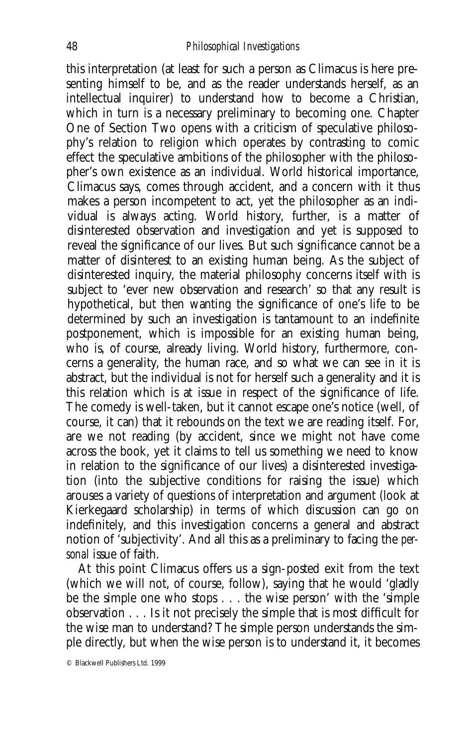this interpretation (at least for such a person as Climacus is here presenting himself to be, and as the reader understands herself, as an intellectual inquirer) to understand how to become a Christian, which in turn is a necessary preliminary to becoming one. Chapter One of Section Two opens with a criticism of speculative philosophy's relation to religion which operates by contrasting to comic effect the speculative ambitions of the philosopher with the philosopher's own existence as an individual. World historical importance, Climacus says, comes through accident, and a concern with it thus makes a person incompetent to act, yet the philosopher as an individual is always acting. World history, further, is a matter of disinterested observation and investigation and yet is supposed to reveal the significance of our lives. But such significance cannot be a matter of disinterest to an existing human being. As the subject of disinterested inquiry, the material philosophy concerns itself with is subject to 'ever new observation and research' so that any result is hypothetical, but then wanting the significance of one's life to be determined by such an investigation is tantamount to an indefinite postponement, which is impossible for an existing human being, who is, of course, already living. World history, furthermore, concerns a generality, the human race, and so what we can see in it is abstract, but the individual is not for herself such a generality and it is this relation which is at issue in respect of the significance of life. The comedy is well-taken, but it cannot escape one's notice (well, of course, it can) that it rebounds on the text we are reading itself. For, are we not reading (by accident, since we might not have come across the book, yet it claims to tell us something we need to know in relation to the significance of our lives) a disinterested investigation (into the subjective conditions for raising the issue) which arouses a variety of questions of interpretation and argument (look at Kierkegaard scholarship) in terms of which discussion can go on indefinitely, and this investigation concerns a general and abstract notion of 'subjectivity'. And all this as a preliminary to facing the *personal* issue of faith.

At this point Climacus offers us a sign-posted exit from the text (which we will not, of course, follow), saying that he would 'gladly be the simple one who stops . . . the wise person' with the 'simple observation . . . Is it not precisely the simple that is most difficult for the wise man to understand? The simple person understands the simple directly, but when the wise person is to understand it, it becomes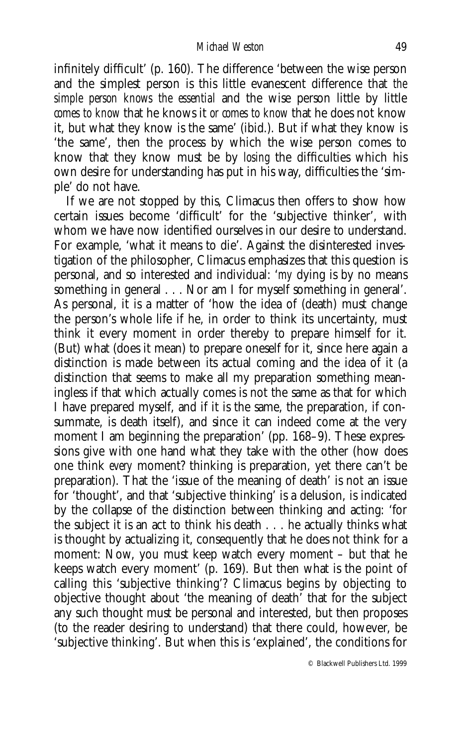infinitely difficult' (p. 160). The difference 'between the wise person and the simplest person is this little evanescent difference that *the simple person knows the essential* and the wise person little by little *comes to know* that he knows it *or comes to know* that he does not know it, but what they know is the same' (ibid.). But if what they know is 'the same', then the process by which the wise person comes to know that they know must be by *losing* the difficulties which his own desire for understanding has put in his way, difficulties the 'simple' do not have.

If we are not stopped by this, Climacus then offers to show how certain issues become 'difficult' for the 'subjective thinker', with whom we have now identified ourselves in our desire to understand. For example, 'what it means to die'. Against the disinterested investigation of the philosopher, Climacus emphasizes that this question is personal, and so interested and individual: '*my* dying is by no means something in general . . . Nor am I for myself something in general'. As personal, it is a matter of 'how the idea of (death) must change the person's whole life if he, in order to think its uncertainty, must think it every moment in order thereby to prepare himself for it. (But) what (does it mean) to prepare oneself for it, since here again a distinction is made between its actual coming and the idea of it (a distinction that seems to make all my preparation something meaningless if that which actually comes is not the same as that for which I have prepared myself, and if it is the same, the preparation, if consummate, is death itself), and since it can indeed come at the very moment I am beginning the preparation' (pp. 168–9). These expressions give with one hand what they take with the other (how does one think *every* moment? thinking is preparation, yet there can't be preparation). That the 'issue of the meaning of death' is not an issue for 'thought', and that 'subjective thinking' is a delusion, is indicated by the collapse of the distinction between thinking and acting: 'for the subject it is an act to think his death . . . he actually thinks what is thought by actualizing it, consequently that he does not think for a moment: Now, you must keep watch every moment – but that he keeps watch every moment' (p. 169). But then what is the point of calling this 'subjective thinking'? Climacus begins by objecting to objective thought about 'the meaning of death' that for the subject any such thought must be personal and interested, but then proposes (to the reader desiring to understand) that there could, however, be 'subjective thinking'. But when this is 'explained', the conditions for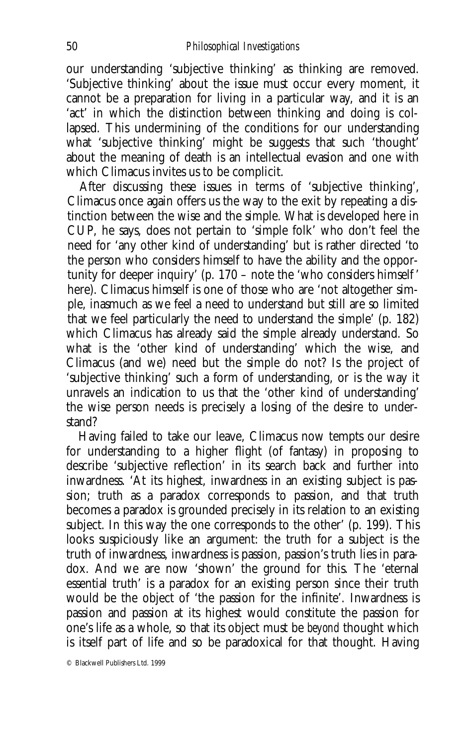our understanding 'subjective thinking' as thinking are removed. 'Subjective thinking' about the issue must occur every moment, it cannot be a preparation for living in a particular way, and it is an 'act' in which the distinction between thinking and doing is collapsed. This undermining of the conditions for our understanding what 'subjective thinking' might be suggests that such 'thought' about the meaning of death is an intellectual evasion and one with which Climacus invites us to be complicit.

After discussing these issues in terms of 'subjective thinking', Climacus once again offers us the way to the exit by repeating a distinction between the wise and the simple. What is developed here in CUP, he says, does not pertain to 'simple folk' who don't feel the need for 'any other kind of understanding' but is rather directed 'to the person who considers himself to have the ability and the opportunity for deeper inquiry' (p. 170 – note the 'who considers himself ' here). Climacus himself is one of those who are 'not altogether simple, inasmuch as we feel a need to understand but still are so limited that we feel particularly the need to understand the simple' (p. 182) which Climacus has already said the simple already understand. So what is the 'other kind of understanding' which the wise, and Climacus (and we) need but the simple do not? Is the project of 'subjective thinking' such a form of understanding, or is the way it unravels an indication to us that the 'other kind of understanding' the wise person needs is precisely a losing of the desire to understand?

Having failed to take our leave, Climacus now tempts our desire for understanding to a higher flight (of fantasy) in proposing to describe 'subjective reflection' in its search back and further into inwardness. 'At its highest, inwardness in an existing subject is passion; truth as a paradox corresponds to passion, and that truth becomes a paradox is grounded precisely in its relation to an existing subject. In this way the one corresponds to the other' (p. 199). This looks suspiciously like an argument: the truth for a subject is the truth of inwardness, inwardness is passion, passion's truth lies in paradox. And we are now 'shown' the ground for this. The 'eternal essential truth' is a paradox for an existing person since their truth would be the object of 'the passion for the infinite'. Inwardness is passion and passion at its highest would constitute the passion for one's life as a whole, so that its object must be *beyond* thought which is itself part of life and so be paradoxical for that thought. Having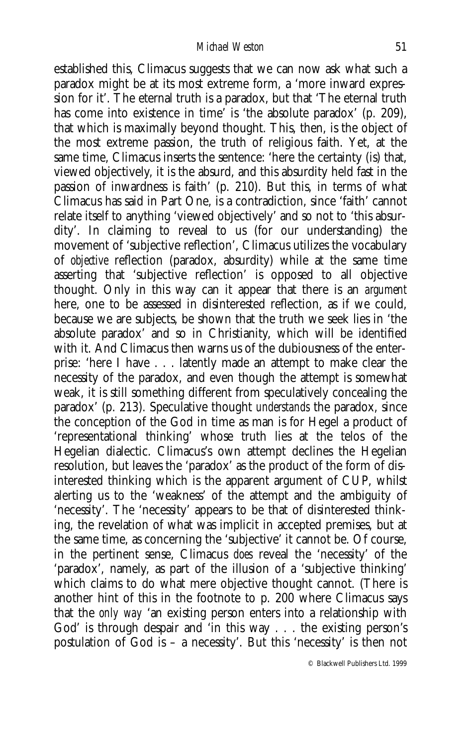established this, Climacus suggests that we can now ask what such a paradox might be at its most extreme form, a 'more inward expression for it'. The eternal truth is a paradox, but that 'The eternal truth has come into existence in time' is 'the absolute paradox' (p. 209), that which is maximally beyond thought. This, then, is the object of the most extreme passion, the truth of religious faith. Yet, at the same time, Climacus inserts the sentence: 'here the certainty (is) that, viewed objectively, it is the absurd, and this absurdity held fast in the passion of inwardness is faith' (p. 210). But this, in terms of what Climacus has said in Part One, is a contradiction, since 'faith' cannot relate itself to anything 'viewed objectively' and so not to 'this absurdity'. In claiming to reveal to us (for our understanding) the movement of 'subjective reflection', Climacus utilizes the vocabulary of *objective* reflection (paradox, absurdity) while at the same time asserting that 'subjective reflection' is opposed to all objective thought. Only in this way can it appear that there is an *argument* here, one to be assessed in disinterested reflection, as if we could. because we are subjects, be shown that the truth we seek lies in 'the absolute paradox' and so in Christianity, which will be identified with it. And Climacus then warns us of the dubiousness of the enterprise: 'here I have . . . latently made an attempt to make clear the necessity of the paradox, and even though the attempt is somewhat weak, it is still something different from speculatively concealing the paradox' (p. 213). Speculative thought *understands* the paradox, since the conception of the God in time as man is for Hegel a product of 'representational thinking' whose truth lies at the telos of the Hegelian dialectic. Climacus's own attempt declines the Hegelian resolution, but leaves the 'paradox' as the product of the form of disinterested thinking which is the apparent argument of CUP, whilst alerting us to the 'weakness' of the attempt and the ambiguity of 'necessity'. The 'necessity' appears to be that of disinterested thinking, the revelation of what was implicit in accepted premises, but at the same time, as concerning the 'subjective' it cannot be. Of course, in the pertinent sense, Climacus *does* reveal the 'necessity' of the 'paradox', namely, as part of the illusion of a 'subjective thinking' which claims to do what mere objective thought cannot. (There is another hint of this in the footnote to p. 200 where Climacus says that the *only way* 'an existing person enters into a relationship with God' is through despair and 'in this way . . . the existing person's postulation of God is – a necessity'. But this 'necessity' is then not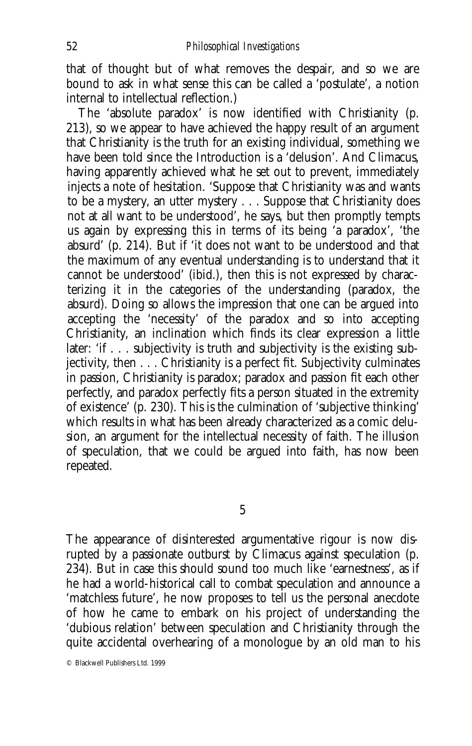that of thought but of what removes the despair, and so we are bound to ask in what sense this can be called a 'postulate', a notion internal to intellectual reflection.)

The 'absolute paradox' is now identified with Christianity (p. 213), so we appear to have achieved the happy result of an argument that Christianity is the truth for an existing individual, something we have been told since the Introduction is a 'delusion'. And Climacus, having apparently achieved what he set out to prevent, immediately injects a note of hesitation. 'Suppose that Christianity was and wants to be a mystery, an utter mystery . . . Suppose that Christianity does not at all want to be understood', he says, but then promptly tempts us again by expressing this in terms of its being 'a paradox', 'the absurd' (p. 214). But if 'it does not want to be understood and that the maximum of any eventual understanding is to understand that it cannot be understood' (ibid.), then this is not expressed by characterizing it in the categories of the understanding (paradox, the absurd). Doing so allows the impression that one can be argued into accepting the 'necessity' of the paradox and so into accepting Christianity, an inclination which finds its clear expression a little later: 'if . . . subjectivity is truth and subjectivity is the existing subjectivity, then . . . Christianity is a perfect fit. Subjectivity culminates in passion, Christianity is paradox; paradox and passion fit each other perfectly, and paradox perfectly fits a person situated in the extremity of existence' (p. 230). This is the culmination of 'subjective thinking' which results in what has been already characterized as a comic delusion, an argument for the intellectual necessity of faith. The illusion of speculation, that we could be argued into faith, has now been repeated.

5

The appearance of disinterested argumentative rigour is now disrupted by a passionate outburst by Climacus against speculation (p. 234). But in case this should sound too much like 'earnestness', as if he had a world-historical call to combat speculation and announce a 'matchless future', he now proposes to tell us the personal anecdote of how he came to embark on his project of understanding the 'dubious relation' between speculation and Christianity through the quite accidental overhearing of a monologue by an old man to his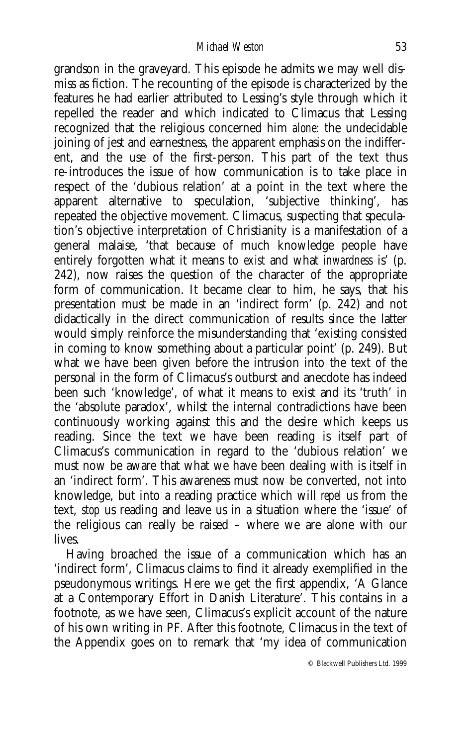grandson in the graveyard. This episode he admits we may well dismiss as fiction. The recounting of the episode is characterized by the features he had earlier attributed to Lessing's style through which it repelled the reader and which indicated to Climacus that Lessing recognized that the religious concerned him *alone*: the undecidable joining of jest and earnestness, the apparent emphasis on the indifferent, and the use of the first-person. This part of the text thus re-introduces the issue of how communication is to take place in respect of the 'dubious relation' at a point in the text where the apparent alternative to speculation, 'subjective thinking', has repeated the objective movement. Climacus, suspecting that speculation's objective interpretation of Christianity is a manifestation of a general malaise, 'that because of much knowledge people have entirely forgotten what it means to *exist* and what *inwardness* is' (p. 242), now raises the question of the character of the appropriate form of communication. It became clear to him, he says, that his presentation must be made in an 'indirect form' (p. 242) and not didactically in the direct communication of results since the latter would simply reinforce the misunderstanding that 'existing consisted in coming to know something about a particular point' (p. 249). But what we have been given before the intrusion into the text of the personal in the form of Climacus's outburst and anecdote has indeed been such 'knowledge', of what it means to exist and its 'truth' in the 'absolute paradox', whilst the internal contradictions have been continuously working against this and the desire which keeps us reading. Since the text we have been reading is itself part of Climacus's communication in regard to the 'dubious relation' we must now be aware that what we have been dealing with is itself in an 'indirect form'. This awareness must now be converted, not into knowledge, but into a reading practice which will *repel* us from the text, *stop* us reading and leave us in a situation where the 'issue' of the religious can really be raised – where we are alone with our lives.

Having broached the issue of a communication which has an 'indirect form', Climacus claims to find it already exemplified in the pseudonymous writings. Here we get the first appendix, 'A Glance at a Contemporary Effort in Danish Literature'. This contains in a footnote, as we have seen, Climacus's explicit account of the nature of his own writing in PF. After this footnote, Climacus in the text of the Appendix goes on to remark that 'my idea of communication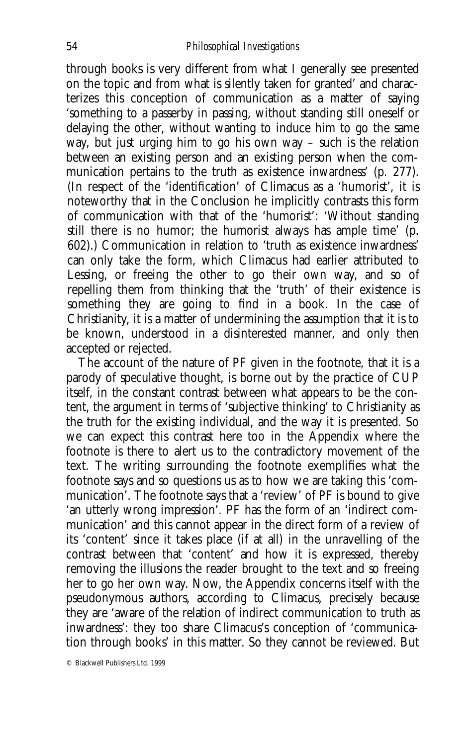through books is very different from what I generally see presented on the topic and from what is silently taken for granted' and characterizes this conception of communication as a matter of saying 'something to a passerby in passing, without standing still oneself or delaying the other, without wanting to induce him to go the same way, but just urging him to go his own way – such is the relation between an existing person and an existing person when the communication pertains to the truth as existence inwardness' (p. 277). (In respect of the 'identification' of Climacus as a 'humorist', it is noteworthy that in the Conclusion he implicitly contrasts this form of communication with that of the 'humorist': 'Without standing still there is no humor; the humorist always has ample time' (p. 602).) Communication in relation to 'truth as existence inwardness' can only take the form, which Climacus had earlier attributed to Lessing, or freeing the other to go their own way, and so of repelling them from thinking that the 'truth' of their existence is something they are going to find in a book. In the case of Christianity, it is a matter of undermining the assumption that it is to be known, understood in a disinterested manner, and only then accepted or rejected.

The account of the nature of PF given in the footnote, that it is a parody of speculative thought, is borne out by the practice of CUP itself, in the constant contrast between what appears to be the content, the argument in terms of 'subjective thinking' to Christianity as the truth for the existing individual, and the way it is presented. So we can expect this contrast here too in the Appendix where the footnote is there to alert us to the contradictory movement of the text. The writing surrounding the footnote exemplifies what the footnote says and so questions us as to how we are taking this 'communication'. The footnote says that a 'review' of PF is bound to give 'an utterly wrong impression'. PF has the form of an 'indirect communication' and this cannot appear in the direct form of a review of its 'content' since it takes place (if at all) in the unravelling of the contrast between that 'content' and how it is expressed, thereby removing the illusions the reader brought to the text and so freeing her to go her own way. Now, the Appendix concerns itself with the pseudonymous authors, according to Climacus, precisely because they are 'aware of the relation of indirect communication to truth as inwardness': they too share Climacus's conception of 'communication through books' in this matter. So they cannot be reviewed. But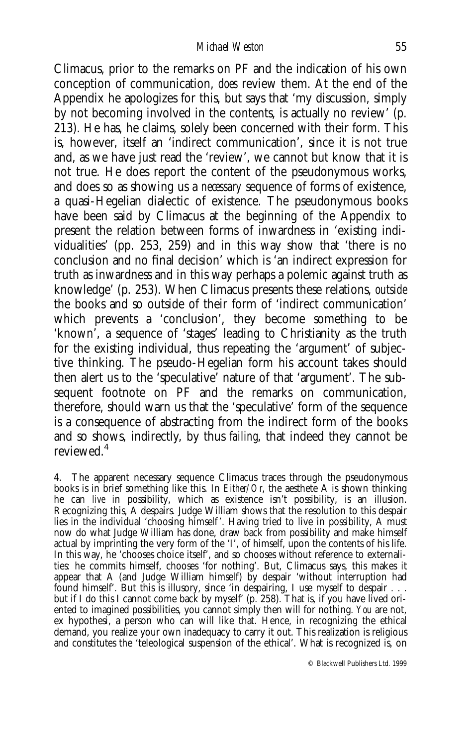Climacus, prior to the remarks on PF and the indication of his own conception of communication, *does* review them. At the end of the Appendix he apologizes for this, but says that 'my discussion, simply by not becoming involved in the contents, is actually no review' (p. 213). He has, he claims, solely been concerned with their form. This is, however, itself an 'indirect communication', since it is not true and, as we have just read the 'review', we cannot but know that it is not true. He does report the content of the pseudonymous works, and does so as showing us a *necessary* sequence of forms of existence, a quasi-Hegelian dialectic of existence. The pseudonymous books have been said by Climacus at the beginning of the Appendix to present the relation between forms of inwardness in 'existing individualities' (pp. 253, 259) and in this way show that 'there is no conclusion and no final decision' which is 'an indirect expression for truth as inwardness and in this way perhaps a polemic against truth as knowledge' (p. 253). When Climacus presents these relations, *outside* the books and so outside of their form of 'indirect communication' which prevents a 'conclusion', they become something to be 'known', a sequence of 'stages' leading to Christianity as the truth for the existing individual, thus repeating the 'argument' of subjective thinking. The pseudo-Hegelian form his account takes should then alert us to the 'speculative' nature of that 'argument'. The subsequent footnote on PF and the remarks on communication, therefore, should warn us that the 'speculative' form of the sequence is a consequence of abstracting from the indirect form of the books and so shows, indirectly, by thus *failing*, that indeed they cannot be reviewed.<sup>4</sup>

4. The apparent necessary sequence Climacus traces through the pseudonymous books is in brief something like this. In *Either/Or*, the aesthete A is shown thinking he can *live* in possibility, which as existence isn't possibility, is an illusion. Recognizing this, A despairs. Judge William shows that the resolution to this despair lies in the individual 'choosing himself '. Having tried to live in possibility, A must now do what Judge William has done, draw back from possibility and make himself actual by imprinting the very form of the 'I', of himself, upon the contents of his life. In this way, he 'chooses choice itself', and so chooses without reference to externalities: he commits himself, chooses 'for nothing'. But, Climacus says, this makes it appear that A (and Judge William himself) by despair 'without interruption had found himself'. But this is illusory, since 'in despairing, I use myself to despair . . . but if I do this I cannot come back by myself' (p. 258). That is, if you have lived oriented to imagined possibilities, you cannot simply then will for nothing. *You* are not, ex hypothesi, a person who can will like that. Hence, in recognizing the ethical demand, you realize your own inadequacy to carry it out. This realization is religious and constitutes the 'teleological suspension of the ethical'. What is recognized is, on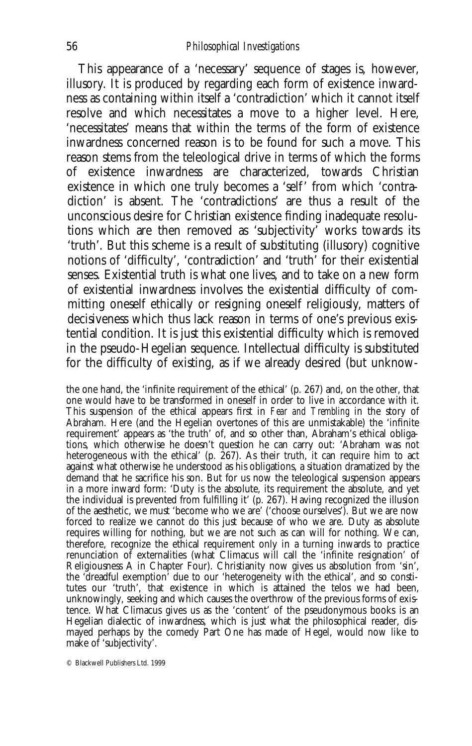This appearance of a 'necessary' sequence of stages is, however, illusory. It is produced by regarding each form of existence inwardness as containing within itself a 'contradiction' which it cannot itself resolve and which necessitates a move to a higher level. Here, 'necessitates' means that within the terms of the form of existence inwardness concerned reason is to be found for such a move. This reason stems from the teleological drive in terms of which the forms of existence inwardness are characterized, towards Christian existence in which one truly becomes a 'self' from which 'contradiction' is absent. The 'contradictions' are thus a result of the unconscious desire for Christian existence finding inadequate resolutions which are then removed as 'subjectivity' works towards its 'truth'. But this scheme is a result of substituting (illusory) cognitive notions of 'difficulty', 'contradiction' and 'truth' for their existential senses. Existential truth is what one lives, and to take on a new form of existential inwardness involves the existential difficulty of committing oneself ethically or resigning oneself religiously, matters of decisiveness which thus lack reason in terms of one's previous existential condition. It is just this existential difficulty which is removed in the pseudo-Hegelian sequence. Intellectual difficulty is substituted for the difficulty of existing, as if we already desired (but unknow-

the one hand, the 'infinite requirement of the ethical' (p. 267) and, on the other, that one would have to be transformed in oneself in order to live in accordance with it. This suspension of the ethical appears first in *Fear and Trembling* in the story of Abraham. Here (and the Hegelian overtones of this are unmistakable) the 'infinite requirement' appears as 'the truth' of, and so other than, Abraham's ethical obligations, which otherwise he doesn't question he can carry out: 'Abraham was not heterogeneous with the ethical' (p. 267). As their truth, it can require him to act against what otherwise he understood as his obligations, a situation dramatized by the demand that he sacrifice his son. But for us now the teleological suspension appears in a more inward form: 'Duty is the absolute, its requirement the absolute, and yet the individual is prevented from fulfilling it' (p. 267). Having recognized the illusion of the aesthetic, we must 'become who we are' ('choose ourselves'). But we are now forced to realize we cannot do this just because of who we are. Duty as absolute requires willing for nothing, but we are not such as can will for nothing. We can, therefore, recognize the ethical requirement only in a turning inwards to practice renunciation of externalities (what Climacus will call the 'infinite resignation' of Religiousness A in Chapter Four). Christianity now gives us absolution from 'sin', the 'dreadful exemption' due to our 'heterogeneity with the ethical', and so constitutes our 'truth', that existence in which is attained the telos we had been, unknowingly, seeking and which causes the overthrow of the previous forms of existence. What Climacus gives us as the 'content' of the pseudonymous books is an Hegelian dialectic of inwardness, which is just what the philosophical reader, dismayed perhaps by the comedy Part One has made of Hegel, would now like to make of 'subjectivity'.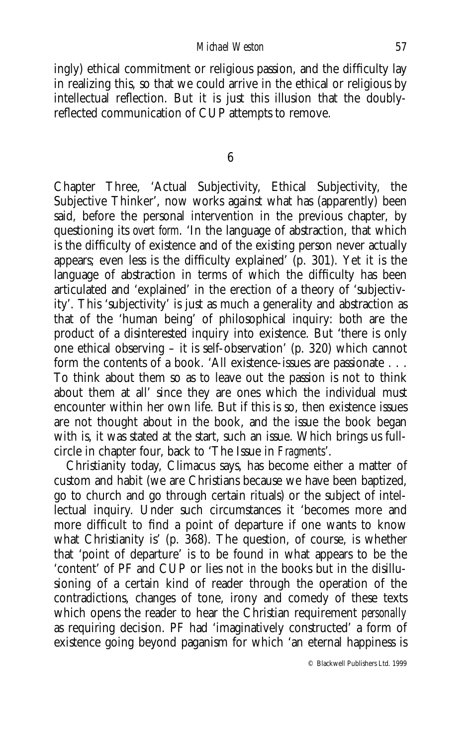ingly) ethical commitment or religious passion, and the difficulty lay in realizing this, so that we could arrive in the ethical or religious by intellectual reflection. But it is just this illusion that the doublyreflected communication of CUP attempts to remove.

6

Chapter Three, 'Actual Subjectivity, Ethical Subjectivity, the Subjective Thinker', now works against what has (apparently) been said, before the personal intervention in the previous chapter, by questioning its *overt form*. 'In the language of abstraction, that which is the difficulty of existence and of the existing person never actually appears; even less is the difficulty explained' (p. 301). Yet it is the language of abstraction in terms of which the difficulty has been articulated and 'explained' in the erection of a theory of 'subjectivity'. This 'subjectivity' is just as much a generality and abstraction as that of the 'human being' of philosophical inquiry: both are the product of a disinterested inquiry into existence. But 'there is only one ethical observing – it is self-observation' (p. 320) which cannot form the contents of a book. 'All existence-issues are passionate . . . To think about them so as to leave out the passion is not to think about them at all' since they are ones which the individual must encounter within her own life. But if this is so, then existence issues are not thought about in the book, and the issue the book began with is, it was stated at the start, such an issue. Which brings us fullcircle in chapter four, back to 'The Issue in *Fragments*'.

Christianity today, Climacus says, has become either a matter of custom and habit (we are Christians because we have been baptized, go to church and go through certain rituals) or the subject of intellectual inquiry. Under such circumstances it 'becomes more and more difficult to find a point of departure if one wants to know what Christianity is' (p. 368). The question, of course, is whether that 'point of departure' is to be found in what appears to be the 'content' of PF and CUP or lies not *in* the books but in the disillusioning of a certain kind of reader through the operation of the contradictions, changes of tone, irony and comedy of these texts which opens the reader to hear the Christian requirement *personally* as requiring decision. PF had 'imaginatively constructed' a form of existence going beyond paganism for which 'an eternal happiness is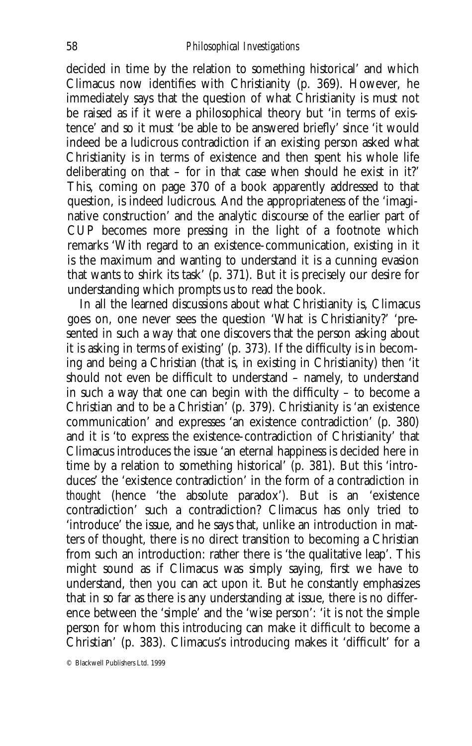decided in time by the relation to something historical' and which Climacus now identifies with Christianity (p. 369). However, he immediately says that the question of what Christianity is must not be raised as if it were a philosophical theory but 'in terms of existence' and so it must 'be able to be answered briefly' since 'it would indeed be a ludicrous contradiction if an existing person asked what Christianity is in terms of existence and then spent his whole life deliberating on that – for in that case when should he exist in it?' This, coming on page 370 of a book apparently addressed to that question, is indeed ludicrous. And the appropriateness of the 'imaginative construction' and the analytic discourse of the earlier part of CUP becomes more pressing in the light of a footnote which remarks 'With regard to an existence-communication, existing in it is the maximum and wanting to understand it is a cunning evasion that wants to shirk its task' (p. 371). But it is precisely our desire for understanding which prompts us to read the book.

In all the learned discussions about what Christianity is, Climacus goes on, one never sees the question 'What is Christianity?' 'presented in such a way that one discovers that the person asking about it is asking in terms of existing' (p. 373). If the difficulty is in becoming and being a Christian (that is, in existing in Christianity) then 'it should not even be difficult to understand – namely, to understand in such a way that one can begin with the difficulty – to become a Christian and to be a Christian' (p. 379). Christianity is 'an existence communication' and expresses 'an existence contradiction' (p. 380) and it is 'to express the existence-contradiction of Christianity' that Climacus introduces the issue 'an eternal happiness is decided here in time by a relation to something historical' (p. 381). But this 'introduces' the 'existence contradiction' in the form of a contradiction in *thought* (hence 'the absolute paradox'). But is an 'existence contradiction' such a contradiction? Climacus has only tried to 'introduce' the issue, and he says that, unlike an introduction in matters of thought, there is no direct transition to becoming a Christian from such an introduction: rather there is 'the qualitative leap'. This might sound as if Climacus was simply saying, first we have to understand, then you can act upon it. But he constantly emphasizes that in so far as there is any understanding at issue, there is no difference between the 'simple' and the 'wise person': 'it is not the simple person for whom this introducing can make it difficult to become a Christian' (p. 383). Climacus's introducing makes it 'difficult' for a

<sup>©</sup> Blackwell Publishers Ltd. 1999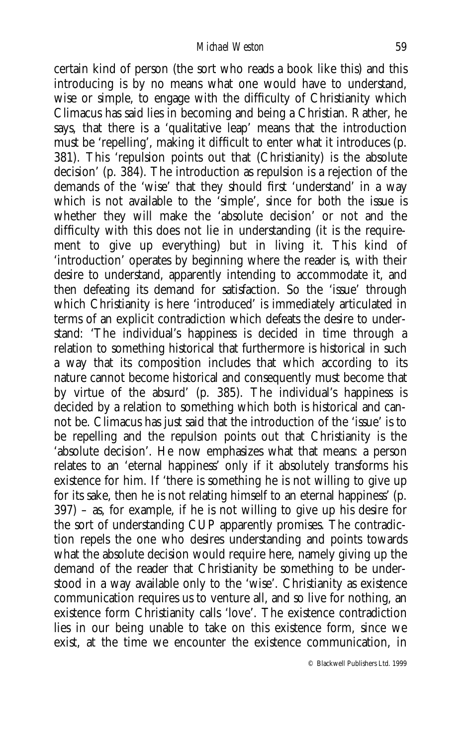certain kind of person (the sort who reads a book like this) and this introducing is by no means what one would have to understand, wise or simple, to engage with the difficulty of Christianity which Climacus has said lies in becoming and being a Christian. Rather, he says, that there is a 'qualitative leap' means that the introduction must be 'repelling', making it difficult to enter what it introduces (p. 381). This 'repulsion points out that (Christianity) is the absolute decision' (p. 384). The introduction as repulsion is a rejection of the demands of the 'wise' that they should first 'understand' in a way which is not available to the 'simple', since for both the issue is whether they will make the 'absolute decision' or not and the difficulty with this does not lie in understanding (it is the requirement to give up everything) but in living it. This kind of 'introduction' operates by beginning where the reader is, with their desire to understand, apparently intending to accommodate it, and then defeating its demand for satisfaction. So the 'issue' through which Christianity is here 'introduced' is immediately articulated in terms of an explicit contradiction which defeats the desire to understand: 'The individual's happiness is decided in time through a relation to something historical that furthermore is historical in such a way that its composition includes that which according to its nature cannot become historical and consequently must become that by virtue of the absurd' (p. 385). The individual's happiness is decided by a relation to something which both is historical and cannot be. Climacus has just said that the introduction of the 'issue' is to be repelling and the repulsion points out that Christianity is the 'absolute decision'. He now emphasizes what that means: a person relates to an 'eternal happiness' only if it absolutely transforms his existence for him. If 'there is something he is not willing to give up for its sake, then he is not relating himself to an eternal happiness' (p. 397) – as, for example, if he is not willing to give up his desire for the sort of understanding CUP apparently promises. The contradiction repels the one who desires understanding and points towards what the absolute decision would require here, namely giving up the demand of the reader that Christianity be something to be understood in a way available only to the 'wise'. Christianity as existence communication requires us to venture all, and so live for nothing, an existence form Christianity calls 'love'. The existence contradiction lies in our being unable to take on this existence form, since we exist, at the time we encounter the existence communication, in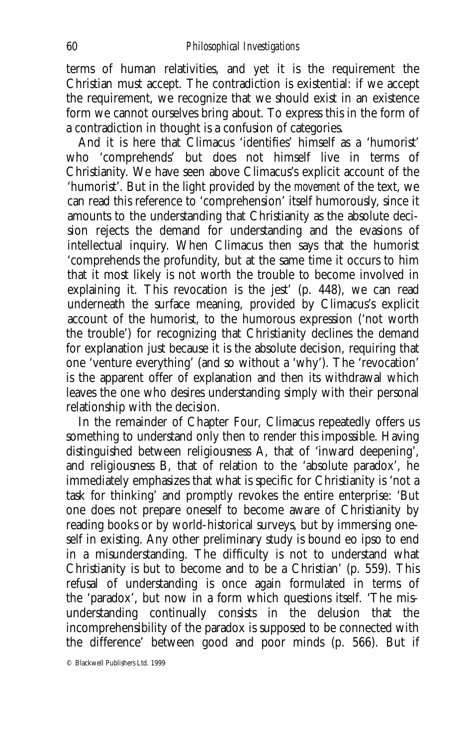terms of human relativities, and yet it is the requirement the Christian must accept. The contradiction is existential: if we accept the requirement, we recognize that we should exist in an existence form we cannot ourselves bring about. To express this in the form of a contradiction in thought is a confusion of categories.

And it is here that Climacus 'identifies' himself as a 'humorist' who 'comprehends' but does not himself live in terms of Christianity. We have seen above Climacus's explicit account of the 'humorist'. But in the light provided by the *movement* of the text, we can read this reference to 'comprehension' itself humorously, since it amounts to the understanding that Christianity as the absolute decision rejects the demand for understanding and the evasions of intellectual inquiry. When Climacus then says that the humorist 'comprehends the profundity, but at the same time it occurs to him that it most likely is not worth the trouble to become involved in explaining it. This revocation is the jest' (p. 448), we can read underneath the surface meaning, provided by Climacus's explicit account of the humorist, to the humorous expression ('not worth the trouble') for recognizing that Christianity declines the demand for explanation just because it is the absolute decision, requiring that one 'venture everything' (and so without a 'why'). The 'revocation' is the apparent offer of explanation and then its withdrawal which leaves the one who desires understanding simply with their personal relationship with the decision.

In the remainder of Chapter Four, Climacus repeatedly offers us something to understand only then to render this impossible. Having distinguished between religiousness A, that of 'inward deepening', and religiousness B, that of relation to the 'absolute paradox', he immediately emphasizes that what is specific for Christianity is 'not a task for thinking' and promptly revokes the entire enterprise: 'But one does not prepare oneself to become aware of Christianity by reading books or by world-historical surveys, but by immersing oneself in existing. Any other preliminary study is bound eo ipso to end in a misunderstanding. The difficulty is not to understand what Christianity is but to become and to be a Christian' (p. 559). This refusal of understanding is once again formulated in terms of the 'paradox', but now in a form which questions itself. 'The misunderstanding continually consists in the delusion that the incomprehensibility of the paradox is supposed to be connected with the difference' between good and poor minds (p. 566). But if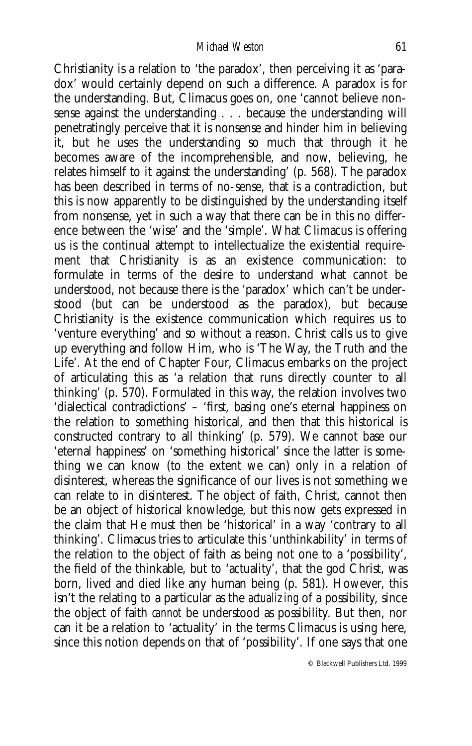Christianity is a relation to 'the paradox', then perceiving it as 'paradox' would certainly depend on such a difference. A paradox is for the understanding. But, Climacus goes on, one 'cannot believe nonsense against the understanding . . . because the understanding will penetratingly perceive that it is nonsense and hinder him in believing it, but he uses the understanding so much that through it he becomes aware of the incomprehensible, and now, believing, he relates himself to it against the understanding' (p. 568). The paradox has been described in terms of no-sense, that is a contradiction, but this is now apparently to be distinguished by the understanding itself from nonsense, yet in such a way that there can be in this no difference between the 'wise' and the 'simple'. What Climacus is offering us is the continual attempt to intellectualize the existential requirement that Christianity is as an existence communication: to formulate in terms of the desire to understand what cannot be understood, not because there is the 'paradox' which can't be understood (but can be understood as the paradox), but because Christianity is the existence communication which requires us to 'venture everything' and so without a reason. Christ calls us to give up everything and follow Him, who is 'The Way, the Truth and the Life'. At the end of Chapter Four, Climacus embarks on the project of articulating this as 'a relation that runs directly counter to all thinking' (p. 570). Formulated in this way, the relation involves two 'dialectical contradictions' – 'first, basing one's eternal happiness on the relation to something historical, and then that this historical is constructed contrary to all thinking' (p. 579). We cannot base our 'eternal happiness' on 'something historical' since the latter is something we can know (to the extent we can) only in a relation of disinterest, whereas the significance of our lives is not something we can relate to in disinterest. The object of faith, Christ, cannot then be an object of historical knowledge, but this now gets expressed in the claim that He must then be 'historical' in a way 'contrary to all thinking'. Climacus tries to articulate this 'unthinkability' in terms of the relation to the object of faith as being not one to a 'possibility', the field of the thinkable, but to 'actuality', that the god Christ, was born, lived and died like any human being (p. 581). However, this isn't the relating to a particular as the *actualizing* of a possibility, since the object of faith *cannot* be understood as possibility. But then, nor can it be a relation to 'actuality' in the terms Climacus is using here, since this notion depends on that of 'possibility'. If one says that one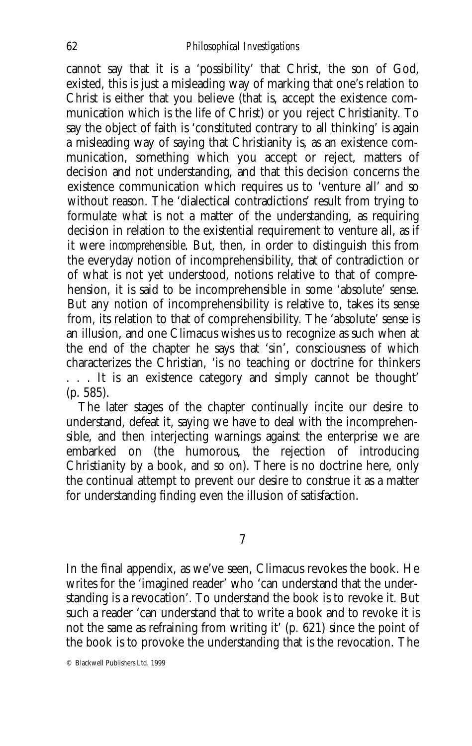cannot say that it is a 'possibility' that Christ, the son of God, existed, this is just a misleading way of marking that one's relation to Christ is either that you believe (that is, accept the existence communication which is the life of Christ) or you reject Christianity. To say the object of faith is 'constituted contrary to all thinking' is again a misleading way of saying that Christianity is, as an existence communication, something which you accept or reject, matters of decision and not understanding, and that this decision concerns the existence communication which requires us to 'venture all' and so without reason. The 'dialectical contradictions' result from trying to formulate what is not a matter of the understanding, as requiring decision in relation to the existential requirement to venture all, as if it were *incomprehensible*. But, then, in order to distinguish this from the everyday notion of incomprehensibility, that of contradiction or of what is not yet understood, notions relative to that of comprehension, it is said to be incomprehensible in some 'absolute' sense. But any notion of incomprehensibility is relative to, takes its sense from, its relation to that of comprehensibility. The 'absolute' sense is an illusion, and one Climacus wishes us to recognize as such when at the end of the chapter he says that 'sin', consciousness of which characterizes the Christian, 'is no teaching or doctrine for thinkers . . . It is an existence category and simply cannot be thought' (p. 585).

The later stages of the chapter continually incite our desire to understand, defeat it, saying we have to deal with the incomprehensible, and then interjecting warnings against the enterprise we are embarked on (the humorous, the rejection of introducing Christianity by a book, and so on). There is no doctrine here, only the continual attempt to prevent our desire to construe it as a matter for understanding finding even the illusion of satisfaction.

7

In the final appendix, as we've seen, Climacus revokes the book. He writes for the 'imagined reader' who 'can understand that the understanding is a revocation'. To understand the book is to revoke it. But such a reader 'can understand that to write a book and to revoke it is not the same as refraining from writing it' (p. 621) since the point of the book is to provoke the understanding that is the revocation. The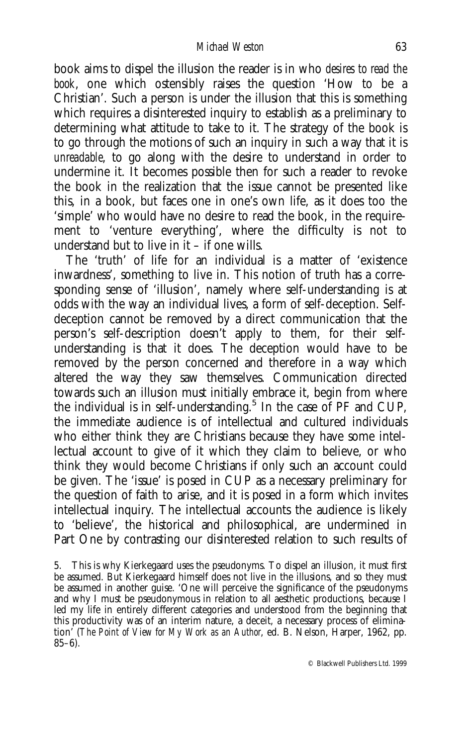book aims to dispel the illusion the reader is in who *desires to read the book*, one which ostensibly raises the question 'How to be a Christian'. Such a person is under the illusion that this is something which requires a disinterested inquiry to establish as a preliminary to determining what attitude to take to it. The strategy of the book is to go through the motions of such an inquiry in such a way that it is *unreadable*, to go along with the desire to understand in order to undermine it. It becomes possible then for such a reader to revoke the book in the realization that the issue cannot be presented like this, in a book, but faces one in one's own life, as it does too the 'simple' who would have no desire to read the book, in the requirement to 'venture everything', where the difficulty is not to understand but to live in it – if one wills.

The 'truth' of life for an individual is a matter of 'existence inwardness', something to live in. This notion of truth has a corresponding sense of 'illusion', namely where self-understanding is at odds with the way an individual lives, a form of self-deception. Selfdeception cannot be removed by a direct communication that the person's self-description doesn't apply to them, for their selfunderstanding is that it does. The deception would have to be removed by the person concerned and therefore in a way which altered the way they saw themselves. Communication directed towards such an illusion must initially embrace it, begin from where the individual is in self-understanding.<sup>5</sup> In the case of PF and CUP, the immediate audience is of intellectual and cultured individuals who either think they are Christians because they have some intellectual account to give of it which they claim to believe, or who think they would become Christians if only such an account could be given. The 'issue' is posed in CUP as a necessary preliminary for the question of faith to arise, and it is posed in a form which invites intellectual inquiry. The intellectual accounts the audience is likely to 'believe', the historical and philosophical, are undermined in Part One by contrasting our disinterested relation to such results of

<sup>5.</sup> This is why Kierkegaard uses the pseudonyms. To dispel an illusion, it must first be assumed. But Kierkegaard himself does not live in the illusions, and so they must be assumed in another guise. 'One will perceive the significance of the pseudonyms and why I must be pseudonymous in relation to all aesthetic productions, because I led my life in entirely different categories and understood from the beginning that this productivity was of an interim nature, a deceit, a necessary process of elimination' (*The Point of View for My Work as an Author*, ed. B. Nelson, Harper, 1962, pp.  $85-6$ ).